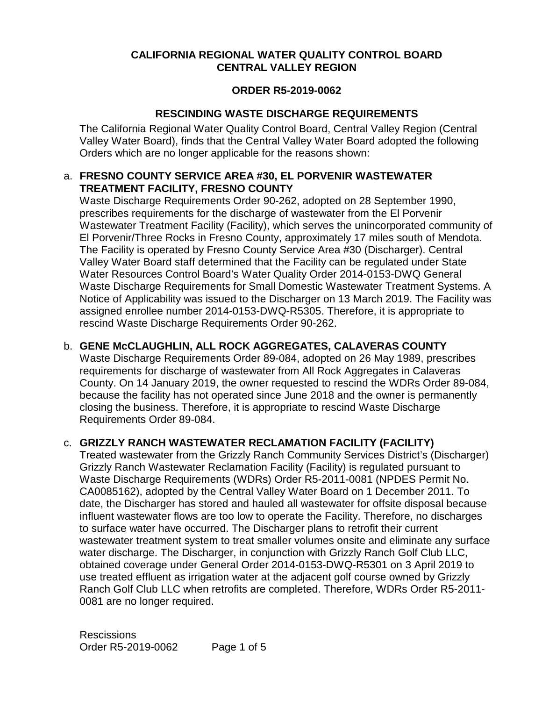### **CALIFORNIA REGIONAL WATER QUALITY CONTROL BOARD CENTRAL VALLEY REGION**

#### **ORDER R5-2019-0062**

### **RESCINDING WASTE DISCHARGE REQUIREMENTS**

The California Regional Water Quality Control Board, Central Valley Region (Central Valley Water Board), finds that the Central Valley Water Board adopted the following Orders which are no longer applicable for the reasons shown:

#### a. **FRESNO COUNTY SERVICE AREA #30, EL PORVENIR WASTEWATER TREATMENT FACILITY, FRESNO COUNTY**

Waste Discharge Requirements Order 90-262, adopted on 28 September 1990, prescribes requirements for the discharge of wastewater from the El Porvenir Wastewater Treatment Facility (Facility), which serves the unincorporated community of El Porvenir/Three Rocks in Fresno County, approximately 17 miles south of Mendota. The Facility is operated by Fresno County Service Area #30 (Discharger). Central Valley Water Board staff determined that the Facility can be regulated under State Water Resources Control Board's Water Quality Order 2014-0153-DWQ General Waste Discharge Requirements for Small Domestic Wastewater Treatment Systems. A Notice of Applicability was issued to the Discharger on 13 March 2019. The Facility was assigned enrollee number 2014-0153-DWQ-R5305. Therefore, it is appropriate to rescind Waste Discharge Requirements Order 90-262.

### b. **GENE McCLAUGHLIN, ALL ROCK AGGREGATES, CALAVERAS COUNTY**

Waste Discharge Requirements Order 89-084, adopted on 26 May 1989, prescribes requirements for discharge of wastewater from All Rock Aggregates in Calaveras County. On 14 January 2019, the owner requested to rescind the WDRs Order 89-084, because the facility has not operated since June 2018 and the owner is permanently closing the business. Therefore, it is appropriate to rescind Waste Discharge Requirements Order 89-084.

### c. **GRIZZLY RANCH WASTEWATER RECLAMATION FACILITY (FACILITY)**

Treated wastewater from the Grizzly Ranch Community Services District's (Discharger) Grizzly Ranch Wastewater Reclamation Facility (Facility) is regulated pursuant to Waste Discharge Requirements (WDRs) Order R5-2011-0081 (NPDES Permit No. CA0085162), adopted by the Central Valley Water Board on 1 December 2011. To date, the Discharger has stored and hauled all wastewater for offsite disposal because influent wastewater flows are too low to operate the Facility. Therefore, no discharges to surface water have occurred. The Discharger plans to retrofit their current wastewater treatment system to treat smaller volumes onsite and eliminate any surface water discharge. The Discharger, in conjunction with Grizzly Ranch Golf Club LLC, obtained coverage under General Order 2014-0153-DWQ-R5301 on 3 April 2019 to use treated effluent as irrigation water at the adjacent golf course owned by Grizzly Ranch Golf Club LLC when retrofits are completed. Therefore, WDRs Order R5-2011- 0081 are no longer required.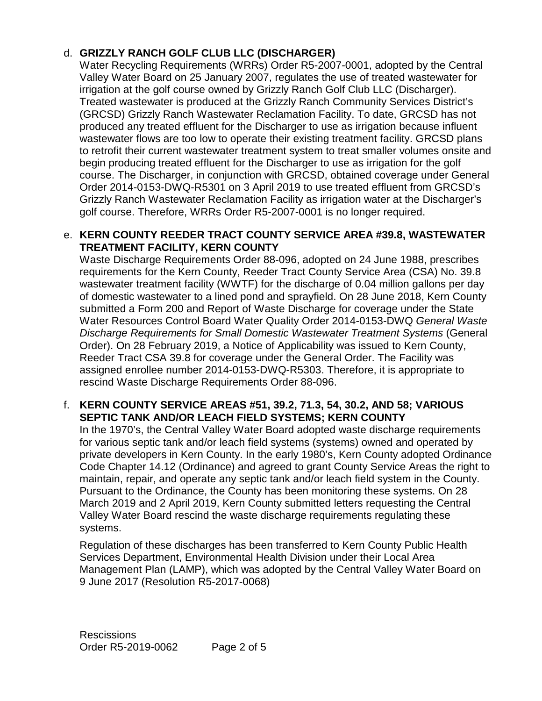# d. **GRIZZLY RANCH GOLF CLUB LLC (DISCHARGER)**

Water Recycling Requirements (WRRs) Order R5-2007-0001, adopted by the Central Valley Water Board on 25 January 2007, regulates the use of treated wastewater for irrigation at the golf course owned by Grizzly Ranch Golf Club LLC (Discharger). Treated wastewater is produced at the Grizzly Ranch Community Services District's (GRCSD) Grizzly Ranch Wastewater Reclamation Facility. To date, GRCSD has not produced any treated effluent for the Discharger to use as irrigation because influent wastewater flows are too low to operate their existing treatment facility. GRCSD plans to retrofit their current wastewater treatment system to treat smaller volumes onsite and begin producing treated effluent for the Discharger to use as irrigation for the golf course. The Discharger, in conjunction with GRCSD, obtained coverage under General Order 2014-0153-DWQ-R5301 on 3 April 2019 to use treated effluent from GRCSD's Grizzly Ranch Wastewater Reclamation Facility as irrigation water at the Discharger's golf course. Therefore, WRRs Order R5-2007-0001 is no longer required.

### e. **KERN COUNTY REEDER TRACT COUNTY SERVICE AREA #39.8, WASTEWATER TREATMENT FACILITY, KERN COUNTY**

 Waste Discharge Requirements Order 88-096, adopted on 24 June 1988, prescribes requirements for the Kern County, Reeder Tract County Service Area (CSA) No. 39.8 wastewater treatment facility (WWTF) for the discharge of 0.04 million gallons per day of domestic wastewater to a lined pond and sprayfield. On 28 June 2018, Kern County submitted a Form 200 and Report of Waste Discharge for coverage under the State Water Resources Control Board Water Quality Order 2014-0153-DWQ *General Waste Discharge Requirements for Small Domestic Wastewater Treatment Systems* (General Order). On 28 February 2019, a Notice of Applicability was issued to Kern County, Reeder Tract CSA 39.8 for coverage under the General Order. The Facility was assigned enrollee number 2014-0153-DWQ-R5303. Therefore, it is appropriate to rescind Waste Discharge Requirements Order 88-096.

### f. **KERN COUNTY SERVICE AREAS #51, 39.2, 71.3, 54, 30.2, AND 58; VARIOUS SEPTIC TANK AND/OR LEACH FIELD SYSTEMS; KERN COUNTY**

In the 1970's, the Central Valley Water Board adopted waste discharge requirements for various septic tank and/or leach field systems (systems) owned and operated by private developers in Kern County. In the early 1980's, Kern County adopted Ordinance Code Chapter 14.12 (Ordinance) and agreed to grant County Service Areas the right to maintain, repair, and operate any septic tank and/or leach field system in the County. Pursuant to the Ordinance, the County has been monitoring these systems. On 28 March 2019 and 2 April 2019, Kern County submitted letters requesting the Central Valley Water Board rescind the waste discharge requirements regulating these systems.

 9 June 2017 (Resolution R5-2017-0068) Regulation of these discharges has been transferred to Kern County Public Health Services Department, Environmental Health Division under their Local Area Management Plan (LAMP), which was adopted by the Central Valley Water Board on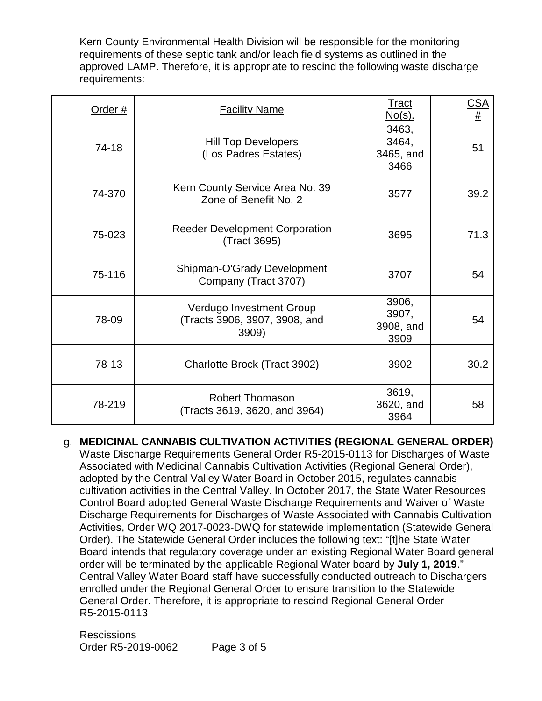Kern County Environmental Health Division will be responsible for the monitoring requirements of these septic tank and/or leach field systems as outlined in the approved LAMP. Therefore, it is appropriate to rescind the following waste discharge requirements:

| Order # | <b>Facility Name</b>                                               | <u>Tract</u><br><u>No(s).</u>       | $rac{\text{CSA}}{\text{\#}}$ |
|---------|--------------------------------------------------------------------|-------------------------------------|------------------------------|
| 74-18   | <b>Hill Top Developers</b><br>(Los Padres Estates)                 | 3463,<br>3464,<br>3465, and<br>3466 | 51                           |
| 74-370  | Kern County Service Area No. 39<br>Zone of Benefit No. 2           | 3577                                | 39.2                         |
| 75-023  | <b>Reeder Development Corporation</b><br>(Tract 3695)              | 3695                                | 71.3                         |
| 75-116  | Shipman-O'Grady Development<br>Company (Tract 3707)                | 3707                                | 54                           |
| 78-09   | Verdugo Investment Group<br>(Tracts 3906, 3907, 3908, and<br>3909) | 3906,<br>3907,<br>3908, and<br>3909 | 54                           |
| 78-13   | Charlotte Brock (Tract 3902)                                       | 3902                                | 30.2                         |
| 78-219  | <b>Robert Thomason</b><br>(Tracts 3619, 3620, and 3964)            | 3619,<br>3620, and<br>3964          | 58                           |

order will be terminated by the applicable Regional Water board by July 1, 2019." General Order. Therefore, it is appropriate to rescind Regional General Order<br>R5-2015-0113 g. **MEDICINAL CANNABIS CULTIVATION ACTIVITIES (REGIONAL GENERAL ORDER)** Waste Discharge Requirements General Order R5-2015-0113 for Discharges of Waste Associated with Medicinal Cannabis Cultivation Activities (Regional General Order), adopted by the Central Valley Water Board in October 2015, regulates cannabis cultivation activities in the Central Valley. In October 2017, the State Water Resources Control Board adopted General Waste Discharge Requirements and Waiver of Waste Discharge Requirements for Discharges of Waste Associated with Cannabis Cultivation Activities, Order WQ 2017-0023-DWQ for statewide implementation (Statewide General Order). The Statewide General Order includes the following text: "[t]he State Water Board intends that regulatory coverage under an existing Regional Water Board general Central Valley Water Board staff have successfully conducted outreach to Dischargers enrolled under the Regional General Order to ensure transition to the Statewide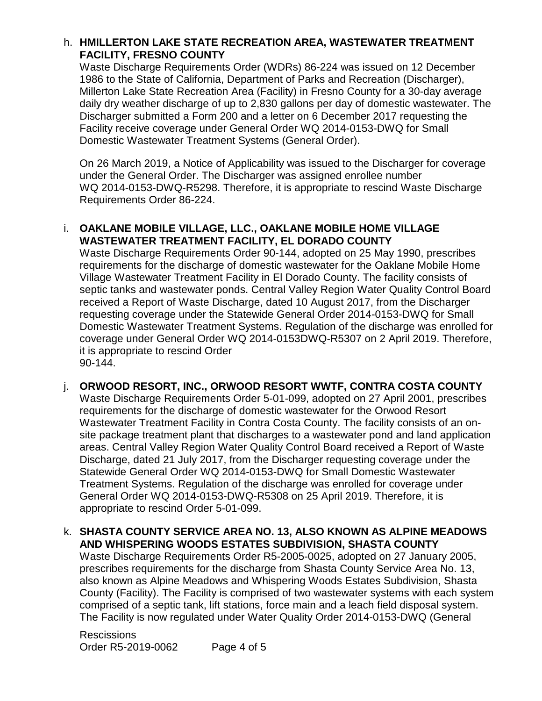#### h. **HMILLERTON LAKE STATE RECREATION AREA, WASTEWATER TREATMENT FACILITY, FRESNO COUNTY**

 Millerton Lake State Recreation Area (Facility) in Fresno County for a 30-day average Facility receive coverage under General Order WQ 2014-0153-DWQ for Small Domestic Wastewater Treatment Systems (General Order). Waste Discharge Requirements Order (WDRs) 86-224 was issued on 12 December 1986 to the State of California, Department of Parks and Recreation (Discharger), daily dry weather discharge of up to 2,830 gallons per day of domestic wastewater. The Discharger submitted a Form 200 and a letter on 6 December 2017 requesting the

On 26 March 2019, a Notice of Applicability was issued to the Discharger for coverage under the General Order. The Discharger was assigned enrollee number WQ 2014-0153-DWQ-R5298. Therefore, it is appropriate to rescind Waste Discharge Requirements Order 86-224.

#### i. **OAKLANE MOBILE VILLAGE, LLC., OAKLANE MOBILE HOME VILLAGE WASTEWATER TREATMENT FACILITY, EL DORADO COUNTY**

Waste Discharge Requirements Order 90-144, adopted on 25 May 1990, prescribes requirements for the discharge of domestic wastewater for the Oaklane Mobile Home Village Wastewater Treatment Facility in El Dorado County. The facility consists of septic tanks and wastewater ponds. Central Valley Region Water Quality Control Board received a Report of Waste Discharge, dated 10 August 2017, from the Discharger requesting coverage under the Statewide General Order 2014-0153-DWQ for Small Domestic Wastewater Treatment Systems. Regulation of the discharge was enrolled for coverage under General Order WQ 2014-0153DWQ-R5307 on 2 April 2019. Therefore, it is appropriate to rescind Order 90-144.

j. **ORWOOD RESORT, INC., ORWOOD RESORT WWTF, CONTRA COSTA COUNTY**  Waste Discharge Requirements Order 5-01-099, adopted on 27 April 2001, prescribes requirements for the discharge of domestic wastewater for the Orwood Resort Wastewater Treatment Facility in Contra Costa County. The facility consists of an onsite package treatment plant that discharges to a wastewater pond and land application areas. Central Valley Region Water Quality Control Board received a Report of Waste Discharge, dated 21 July 2017, from the Discharger requesting coverage under the Statewide General Order WQ 2014-0153-DWQ for Small Domestic Wastewater Treatment Systems. Regulation of the discharge was enrolled for coverage under General Order WQ 2014-0153-DWQ-R5308 on 25 April 2019. Therefore, it is appropriate to rescind Order 5-01-099.

### k. **SHASTA COUNTY SERVICE AREA NO. 13, ALSO KNOWN AS ALPINE MEADOWS AND WHISPERING WOODS ESTATES SUBDIVISION, SHASTA COUNTY**

 prescribes requirements for the discharge from Shasta County Service Area No. 13, comprised of a septic tank, lift stations, force main and a leach field disposal system. Waste Discharge Requirements Order R5-2005-0025, adopted on 27 January 2005, also known as Alpine Meadows and Whispering Woods Estates Subdivision, Shasta County (Facility). The Facility is comprised of two wastewater systems with each system The Facility is now regulated under Water Quality Order 2014-0153-DWQ (General

Rescissions Order R5-2019-0062 Page 4 of 5